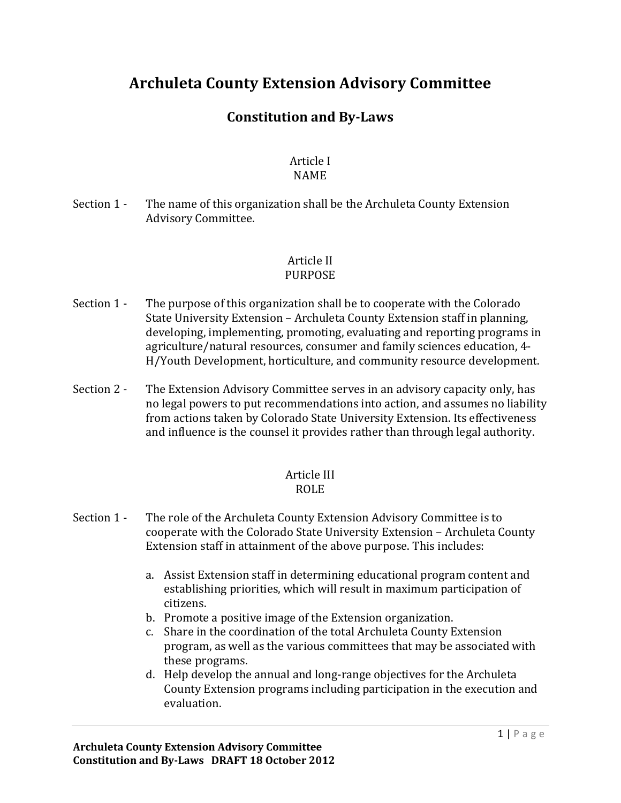# **Archuleta County Extension Advisory Committee**

## **Constitution and By-Laws**

#### Article I NAME

Section 1 - The name of this organization shall be the Archuleta County Extension Advisory Committee.

#### Article II PURPOSE

- Section 1 The purpose of this organization shall be to cooperate with the Colorado State University Extension – Archuleta County Extension staff in planning, developing, implementing, promoting, evaluating and reporting programs in agriculture/natural resources, consumer and family sciences education, 4- H/Youth Development, horticulture, and community resource development.
- Section 2 The Extension Advisory Committee serves in an advisory capacity only, has no legal powers to put recommendations into action, and assumes no liability from actions taken by Colorado State University Extension. Its effectiveness and influence is the counsel it provides rather than through legal authority.

## Article III

## ROLE

- Section 1 The role of the Archuleta County Extension Advisory Committee is to cooperate with the Colorado State University Extension – Archuleta County Extension staff in attainment of the above purpose. This includes:
	- a. Assist Extension staff in determining educational program content and establishing priorities, which will result in maximum participation of citizens.
	- b. Promote a positive image of the Extension organization.
	- c. Share in the coordination of the total Archuleta County Extension program, as well as the various committees that may be associated with these programs.
	- d. Help develop the annual and long-range objectives for the Archuleta County Extension programs including participation in the execution and evaluation.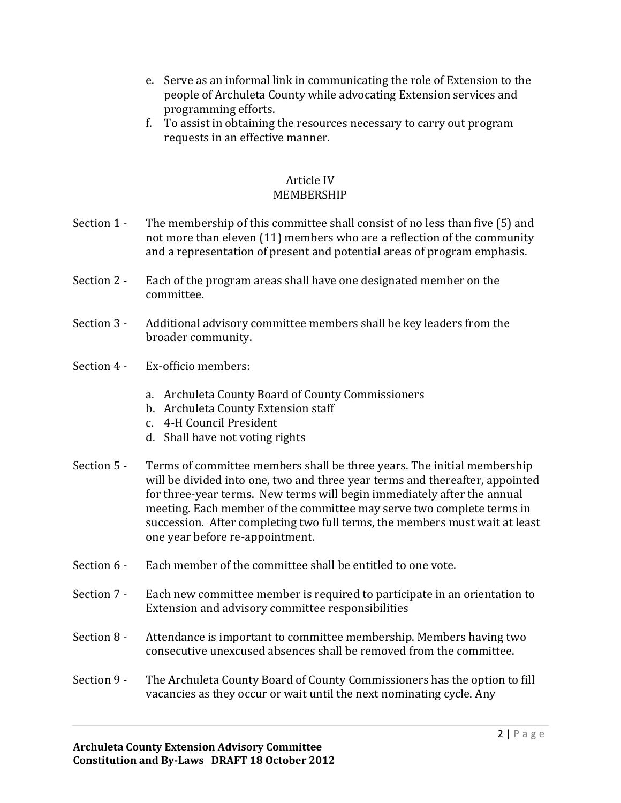- e. Serve as an informal link in communicating the role of Extension to the people of Archuleta County while advocating Extension services and programming efforts.
- f. To assist in obtaining the resources necessary to carry out program requests in an effective manner.

#### Article IV MEMBERSHIP

- Section 1 The membership of this committee shall consist of no less than five (5) and not more than eleven (11) members who are a reflection of the community and a representation of present and potential areas of program emphasis.
- Section 2 Each of the program areas shall have one designated member on the committee.
- Section 3 Additional advisory committee members shall be key leaders from the broader community.
- Section 4 Ex-officio members:
	- a. Archuleta County Board of County Commissioners
	- b. Archuleta County Extension staff
	- c. 4-H Council President
	- d. Shall have not voting rights
- Section 5 Terms of committee members shall be three years. The initial membership will be divided into one, two and three year terms and thereafter, appointed for three-year terms. New terms will begin immediately after the annual meeting. Each member of the committee may serve two complete terms in succession. After completing two full terms, the members must wait at least one year before re-appointment.
- Section 6 Each member of the committee shall be entitled to one vote.
- Section 7 Each new committee member is required to participate in an orientation to Extension and advisory committee responsibilities
- Section 8 Attendance is important to committee membership. Members having two consecutive unexcused absences shall be removed from the committee.
- Section 9 The Archuleta County Board of County Commissioners has the option to fill vacancies as they occur or wait until the next nominating cycle. Any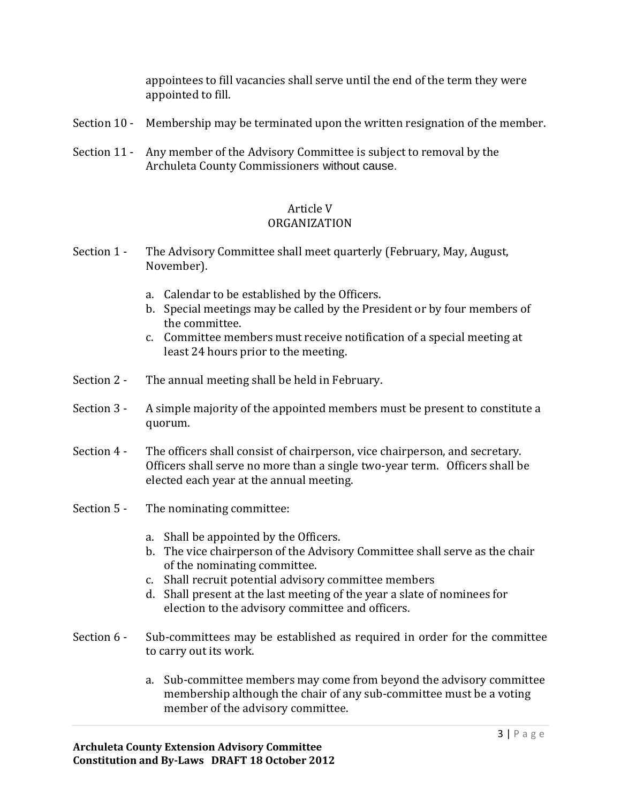appointees to fill vacancies shall serve until the end of the term they were appointed to fill.

- Section 10 Membership may be terminated upon the written resignation of the member.
- Section 11 Any member of the Advisory Committee is subject to removal by the Archuleta County Commissioners without cause.

#### Article V ORGANIZATION

- Section 1 The Advisory Committee shall meet quarterly (February, May, August, November).
	- a. Calendar to be established by the Officers.
	- b. Special meetings may be called by the President or by four members of the committee.
	- c. Committee members must receive notification of a special meeting at least 24 hours prior to the meeting.
- Section 2 The annual meeting shall be held in February.
- Section 3 A simple majority of the appointed members must be present to constitute a quorum.
- Section 4 The officers shall consist of chairperson, vice chairperson, and secretary. Officers shall serve no more than a single two-year term. Officers shall be elected each year at the annual meeting.
- Section 5 The nominating committee:
	- a. Shall be appointed by the Officers.
	- b. The vice chairperson of the Advisory Committee shall serve as the chair of the nominating committee.
	- c. Shall recruit potential advisory committee members
	- d. Shall present at the last meeting of the year a slate of nominees for election to the advisory committee and officers.
- Section 6 Sub-committees may be established as required in order for the committee to carry out its work.
	- a. Sub-committee members may come from beyond the advisory committee membership although the chair of any sub-committee must be a voting member of the advisory committee.